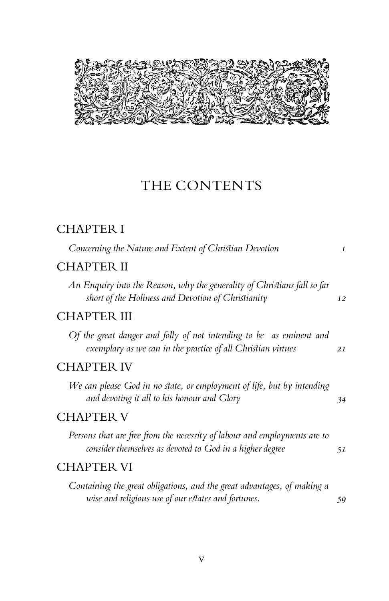

## THE CONTENTS

## CHAPTER I

| Concerning the Nature and Extent of Christian Devotion                                                                                | 1  |
|---------------------------------------------------------------------------------------------------------------------------------------|----|
| CHAPTER II                                                                                                                            |    |
| An Enquiry into the Reason, why the generality of Christians fall so far<br>short of the Holiness and Devotion of Christianity        | 12 |
| CHAPTER III                                                                                                                           |    |
| Of the great danger and folly of not intending to be as eminent and<br>exemplary as we can in the practice of all Christian virtues   | 21 |
| CHAPTER IV                                                                                                                            |    |
| We can please God in no state, or employment of life, but by intending<br>and devoting it all to his honour and Glory                 | 34 |
| CHAPTER V                                                                                                                             |    |
| Persons that are free from the necessity of labour and employments are to<br>consider themselves as devoted to God in a higher degree | 51 |
| CHAPTER VI                                                                                                                            |    |
| Containing the great obligations, and the great advantages, of making a<br>wise and religious use of our estates and fortunes.        | 59 |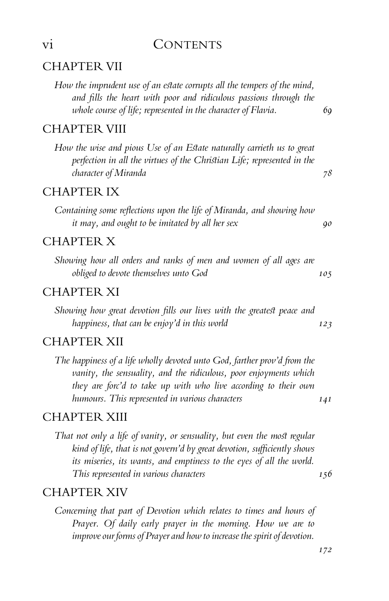#### vi CONTENTS

#### CHAPTER VII

*How the imprudent use of an estate corrupts all the tempers of the mind, and fills the heart with poor and ridiculous passions through the whole course of life; represented in the character of Flavia.*

#### CHAPTER VIII

*How the wise and pious Use of an Estate naturally carrieth us to great perfection in all the virtues of the Christian Life; represented in the character of Miranda*

#### CHAPTER IX

*Containing some reflections upon the life of Miranda, and showing how it may, and ought to be imitated by all her sex*

#### CHAPTER X

*Showing how all orders and ranks of men and women of all ages are obliged to devote themselves unto God*

#### CHAPTER XI

*Showing how great devotion fills our lives with the greatest peace and happiness, that can be enjoy'd in this world*

#### CHAPTER XII

*The happiness of a life wholly devoted unto God, farther prov'd from the vanity, the sensuality, and the ridiculous, poor enjoyments which they are forc'd to take up with who live according to their own humours. This represented in various characters*

#### CHAPTER XIII

*That not only a life of vanity, or sensuality, but even the most regular kind of life, that is not govern'd by great devotion, sufficiently shows its miseries, its wants, and emptiness to the eyes of all the world. This represented in various characters*

#### CHAPTER XIV

*Concerning that part of Devotion which relates to times and hours of Prayer. Of daily early prayer in the morning. How we are to improve our forms of Prayer and how to increase the spirit of devotion.*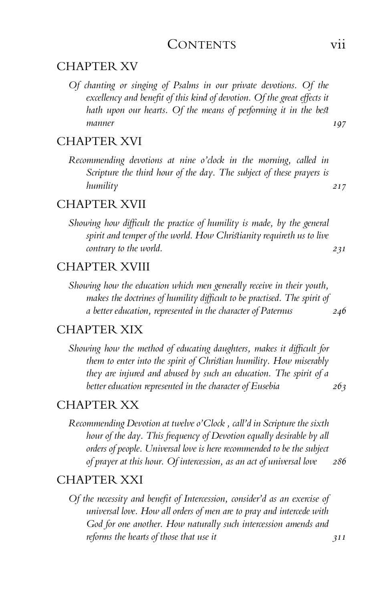#### CHAPTER XV

*Of chanting or singing of Psalms in our private devotions. Of the*  excellency and benefit of this kind of devotion. Of the great effects it *hath upon our hearts. Of the means of performing it in the best manner*

#### CHAPTER XVI

*Recommending devotions at nine o'clock in the morning, called in Scripture the third hour of the day. The subject of these prayers is humility*

#### CHAPTER XVII

*Showing how difficult the practice of humility is made, by the general spirit and temper of the world. How Christianity requireth us to live contrary to the world.*

#### CHAPTER XVIII

*Showing how the education which men generally receive in their youth, makes the doctrines of humility difficult to be practised. The spirit of a better education, represented in the character of Paternus*

#### CHAPTER XIX

*Showing how the method of educating daughters, makes it difficult for them to enter into the spirit of Christian humility. How miserably they are injured and abused by such an education. The spirit of a better education represented in the character of Eusebia*

#### CHAPTER XX

*Recommending Devotion at twelve o'Clock , call'd in Scripture the sixth hour of the day. This frequency of Devotion equally desirable by all orders of people. Universal love is here recommended to be the subject of prayer at this hour. Of intercession, as an act of universal love*

#### CHAPTER XXI

*Of the necessity and benefit of Intercession, consider'd as an exercise of universal love. How all orders of men are to pray and intercede with God for one another. How naturally such intercession amends and reforms the hearts of those that use it*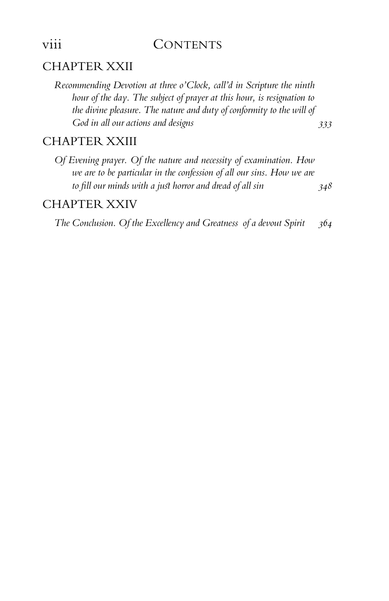#### viii CONTENTS

## CHAPTER XXII

*Recommending Devotion at three o'Clock, call'd in Scripture the ninth hour of the day. The subject of prayer at this hour, is resignation to the divine pleasure. The nature and duty of conformity to the will of God in all our actions and designs*

## CHAPTER XXIII

*Of Evening prayer. Of the nature and necessity of examination. How we are to be particular in the confession of all our sins. How we are to fill our minds with a just horror and dread of all sin*

#### CHAPTER XXIV

*The Conclusion. Of the Excellency and Greatness of a devout Spirit*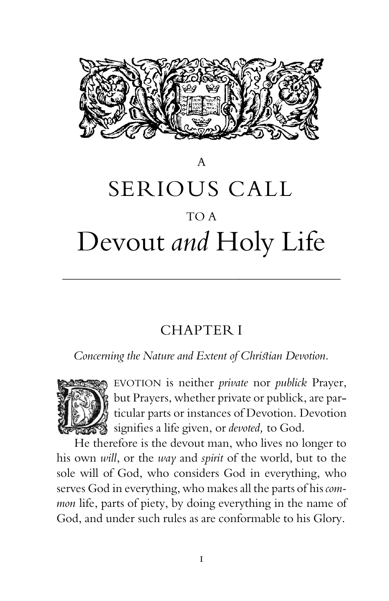

# A SERIOUS CALL TO A Devout *and* Holy Life

## CHAPTER I

——————————————————————

*Concerning the Nature and Extent of Christian Devotion.*



EVOTION is neither *private* nor *publick* Prayer, but Prayers, whether private or publick, are particular parts or instances of Devotion. Devotion signifies a life given, or *devoted*, to God.

He therefore is the devout man, who lives no longer to his own *will*, or the *way* and *spirit* of the world, but to the sole will of God, who considers God in everything, who serves God in everything, who makes all the parts of his *common* life, parts of piety, by doing everything in the name of God, and under such rules as are conformable to his Glory.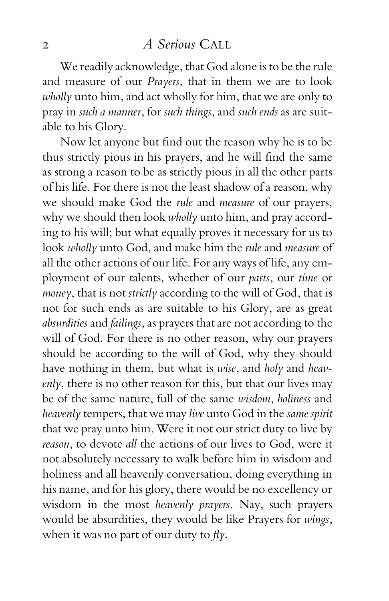We readily acknowledge, that God alone is to be the rule and measure of our *Prayers*, that in them we are to look *wholly* unto him, and act wholly for him, that we are only to pray in *such a manner*, for *such things*, and *such ends* as are suitable to his Glory.

Now let anyone but find out the reason why he is to be thus strictly pious in his prayers, and he will find the same as strong a reason to be as strictly pious in all the other parts of his life. For there is not the least shadow of a reason, why we should make God the *rule* and *measure* of our prayers, why we should then look *wholly* unto him, and pray according to his will; but what equally proves it necessary for us to look *wholly* unto God, and make him the *rule* and *measure* of all the other actions of our life. For any ways of life, any employment of our talents, whether of our *parts*, our *time* or *money*, that is not *strictly* according to the will of God, that is not for such ends as are suitable to his Glory, are as great *absurdities* and *failings*, as prayers that are not according to the will of God. For there is no other reason, why our prayers should be according to the will of God, why they should have nothing in them, but what is *wise*, and *holy* and *heavenly*, there is no other reason for this, but that our lives may be of the same nature, full of the same *wisdom*, *holiness* and *heavenly* tempers, that we may *live* unto God in the *same spirit* that we pray unto him. Were it not our strict duty to live by *reason*, to devote *all* the actions of our lives to God, were it not absolutely necessary to walk before him in wisdom and holiness and all heavenly conversation, doing everything in his name, and for his glory, there would be no excellency or wisdom in the most *heavenly prayers*. Nay, such prayers would be absurdities, they would be like Prayers for *wings*, when it was no part of our duty to *fly*.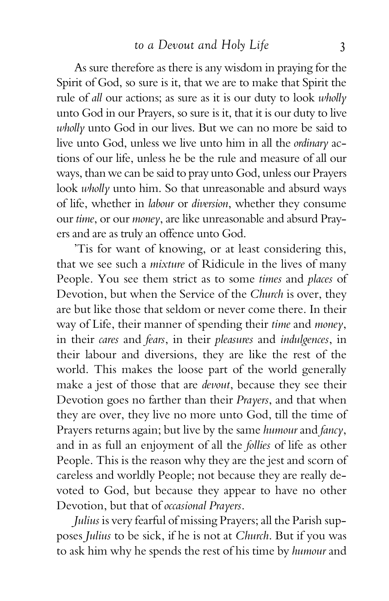As sure therefore as there is any wisdom in praying for the Spirit of God, so sure is it, that we are to make that Spirit the rule of *all* our actions; as sure as it is our duty to look *wholly* unto God in our Prayers, so sure is it, that it is our duty to live *wholly* unto God in our lives. But we can no more be said to live unto God, unless we live unto him in all the *ordinary* actions of our life, unless he be the rule and measure of all our ways, than we can be said to pray unto God, unless our Prayers look *wholly* unto him. So that unreasonable and absurd ways of life, whether in *labour* or *diversion*, whether they consume our *time*, or our *money*, are like unreasonable and absurd Prayers and are as truly an offence unto God.

'Tis for want of knowing, or at least considering this, that we see such a *mixture* of Ridicule in the lives of many People. You see them strict as to some *times* and *places* of Devotion, but when the Service of the *Church* is over, they are but like those that seldom or never come there. In their way of Life, their manner of spending their *time* and *money*, in their *cares* and *fears*, in their *pleasures* and *indulgences*, in their labour and diversions, they are like the rest of the world. This makes the loose part of the world generally make a jest of those that are *devout*, because they see their Devotion goes no farther than their *Prayers*, and that when they are over, they live no more unto God, till the time of Prayers returns again; but live by the same *humour* and *fancy*, and in as full an enjoyment of all the *follies* of life as other People. This is the reason why they are the jest and scorn of careless and worldly People; not because they are really devoted to God, but because they appear to have no other Devotion, but that of *occasional Prayers*.

*Julius* is very fearful of missing Prayers; all the Parish supposes *Julius* to be sick, if he is not at *Church*. But if you was to ask him why he spends the rest of his time by *humour* and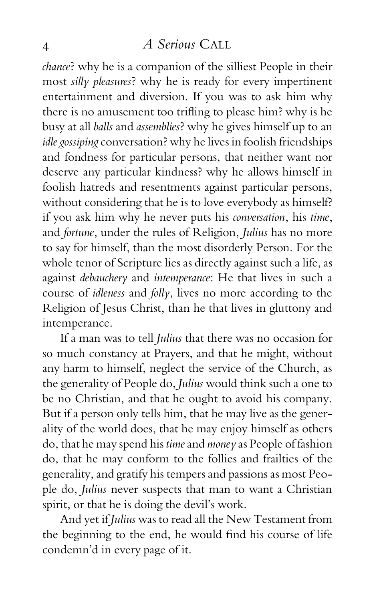*chance*? why he is a companion of the silliest People in their most *silly pleasures*? why he is ready for every impertinent entertainment and diversion. If you was to ask him why there is no amusement too trifling to please him? why is he busy at all *balls* and *assemblies*? why he gives himself up to an *idle gossiping* conversation? why he lives in foolish friendships and fondness for particular persons, that neither want nor deserve any particular kindness? why he allows himself in foolish hatreds and resentments against particular persons, without considering that he is to love everybody as himself? if you ask him why he never puts his *conversation*, his *time*, and *fortune*, under the rules of Religion, *Julius* has no more to say for himself, than the most disorderly Person. For the whole tenor of Scripture lies as directly against such a life, as against *debauchery* and *intemperance*: He that lives in such a course of *idleness* and *folly*, lives no more according to the Religion of Jesus Christ, than he that lives in gluttony and intemperance.

If a man was to tell *Julius* that there was no occasion for so much constancy at Prayers, and that he might, without any harm to himself, neglect the service of the Church, as the generality of People do, *Julius* would think such a one to be no Christian, and that he ought to avoid his company. But if a person only tells him, that he may live as the generality of the world does, that he may enjoy himself as others do, that he may spend his *time* and *money* as People of fashion do, that he may conform to the follies and frailties of the generality, and gratify his tempers and passions as most People do, *Julius* never suspects that man to want a Christian spirit, or that he is doing the devil's work.

And yet if *Julius* was to read all the New Testament from the beginning to the end, he would find his course of life condemn'd in every page of it.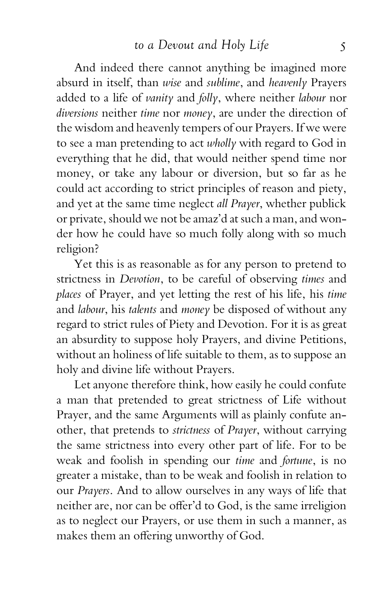And indeed there cannot anything be imagined more absurd in itself, than *wise* and *sublime*, and *heavenly* Prayers added to a life of *vanity* and *folly*, where neither *labour* nor *diversions* neither *time* nor *money*, are under the direction of the wisdom and heavenly tempers of our Prayers. If we were to see a man pretending to act *wholly* with regard to God in everything that he did, that would neither spend time nor money, or take any labour or diversion, but so far as he could act according to strict principles of reason and piety, and yet at the same time neglect *all Prayer*, whether publick or private, should we not be amaz'd at such a man, and wonder how he could have so much folly along with so much religion?

Yet this is as reasonable as for any person to pretend to strictness in *Devotion*, to be careful of observing *times* and *places* of Prayer, and yet letting the rest of his life, his *time* and *labour*, his *talents* and *money* be disposed of without any regard to strict rules of Piety and Devotion. For it is as great an absurdity to suppose holy Prayers, and divine Petitions, without an holiness of life suitable to them, as to suppose an holy and divine life without Prayers.

Let anyone therefore think, how easily he could confute a man that pretended to great strictness of Life without Prayer, and the same Arguments will as plainly confute another, that pretends to *strictness* of *Prayer*, without carrying the same strictness into every other part of life. For to be weak and foolish in spending our *time* and *fortune*, is no greater a mistake, than to be weak and foolish in relation to our *Prayers*. And to allow ourselves in any ways of life that neither are, nor can be offer'd to God, is the same irreligion as to neglect our Prayers, or use them in such a manner, as makes them an offering unworthy of God.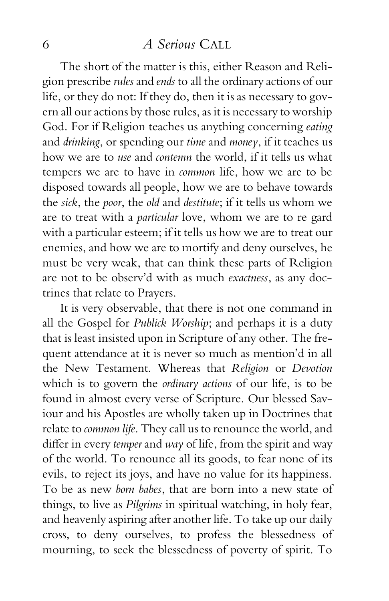The short of the matter is this, either Reason and Religion prescribe *rules* and *ends* to all the ordinary actions of our life, or they do not: If they do, then it is as necessary to govern all our actions by those rules, as it is necessary to worship God. For if Religion teaches us anything concerning *eating* and *drinking*, or spending our *time* and *money*, if it teaches us how we are to *use* and *contemn* the world, if it tells us what tempers we are to have in *common* life, how we are to be disposed towards all people, how we are to behave towards the *sick*, the *poor*, the *old* and *destitute*; if it tells us whom we are to treat with a *particular* love, whom we are to re gard with a particular esteem; if it tells us how we are to treat our enemies, and how we are to mortify and deny ourselves, he must be very weak, that can think these parts of Religion are not to be observ'd with as much *exactness*, as any doctrines that relate to Prayers.

It is very observable, that there is not one command in all the Gospel for *Publick Worship*; and perhaps it is a duty that is least insisted upon in Scripture of any other. The frequent attendance at it is never so much as mention'd in all the New Testament. Whereas that *Religion* or *Devotion* which is to govern the *ordinary actions* of our life, is to be found in almost every verse of Scripture. Our blessed Saviour and his Apostles are wholly taken up in Doctrines that relate to *common life*. They call us to renounce the world, and differ in every *temper* and *way* of life, from the spirit and way of the world. To renounce all its goods, to fear none of its evils, to reject its joys, and have no value for its happiness. To be as new *born babes*, that are born into a new state of things, to live as *Pilgrims* in spiritual watching, in holy fear, and heavenly aspiring after another life. To take up our daily cross, to deny ourselves, to profess the blessedness of mourning, to seek the blessedness of poverty of spirit. To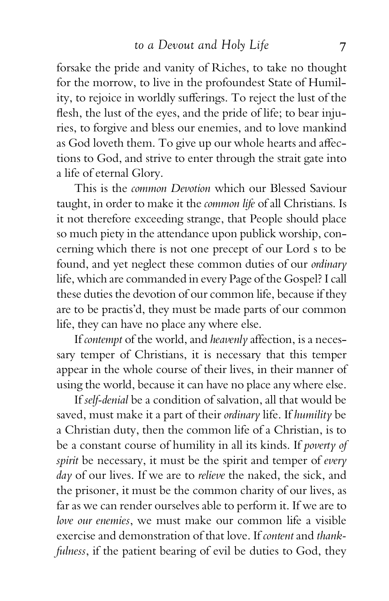forsake the pride and vanity of Riches, to take no thought for the morrow, to live in the profoundest State of Humility, to rejoice in worldly sufferings. To reject the lust of the flesh, the lust of the eyes, and the pride of life; to bear injuries, to forgive and bless our enemies, and to love mankind as God loveth them. To give up our whole hearts and affections to God, and strive to enter through the strait gate into a life of eternal Glory.

This is the *common Devotion* which our Blessed Saviour taught, in order to make it the *common life* of all Christians. Is it not therefore exceeding strange, that People should place so much piety in the attendance upon publick worship, concerning which there is not one precept of our Lord s to be found, and yet neglect these common duties of our *ordinary* life, which are commanded in every Page of the Gospel? I call these duties the devotion of our common life, because if they are to be practis'd, they must be made parts of our common life, they can have no place any where else.

If *contempt* of the world, and *heavenly* affection, is a necessary temper of Christians, it is necessary that this temper appear in the whole course of their lives, in their manner of using the world, because it can have no place any where else.

If *self-denial* be a condition of salvation, all that would be saved, must make it a part of their *ordinary* life. If *humility* be a Christian duty, then the common life of a Christian, is to be a constant course of humility in all its kinds. If *poverty of spirit* be necessary, it must be the spirit and temper of *every day* of our lives. If we are to *relieve* the naked, the sick, and the prisoner, it must be the common charity of our lives, as far as we can render ourselves able to perform it. If we are to *love our enemies*, we must make our common life a visible exercise and demonstration of that love. If *content* and *thankfulness*, if the patient bearing of evil be duties to God, they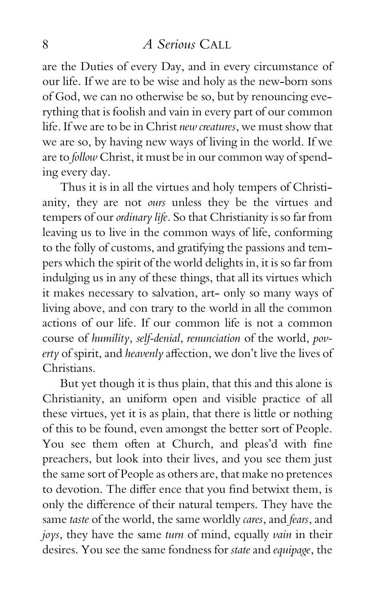are the Duties of every Day, and in every circumstance of our life. If we are to be wise and holy as the new-born sons of God, we can no otherwise be so, but by renouncing everything that is foolish and vain in every part of our common life. If we are to be in Christ *new creatures*, we must show that we are so, by having new ways of living in the world. If we are to *follow* Christ, it must be in our common way of spending every day.

Thus it is in all the virtues and holy tempers of Christianity, they are not *ours* unless they be the virtues and tempers of our *ordinary life*. So that Christianity is so far from leaving us to live in the common ways of life, conforming to the folly of customs, and gratifying the passions and tempers which the spirit of the world delights in, it is so far from indulging us in any of these things, that all its virtues which it makes necessary to salvation, art- only so many ways of living above, and con trary to the world in all the common actions of our life. If our common life is not a common course of *humility*, *self-denial*, *renunciation* of the world, *poverty* of spirit, and *heavenly* affection, we don't live the lives of Christians.

But yet though it is thus plain, that this and this alone is Christianity, an uniform open and visible practice of all these virtues, yet it is as plain, that there is little or nothing of this to be found, even amongst the better sort of People. You see them often at Church, and pleas'd with fine preachers, but look into their lives, and you see them just the same sort of People as others are, that make no pretences to devotion. The differ ence that you find betwixt them, is only the difference of their natural tempers. They have the same *taste* of the world, the same worldly *cares*, and *fears*, and *joys*, they have the same *turn* of mind, equally *vain* in their desires. You see the same fondness for *state* and *equipage*, the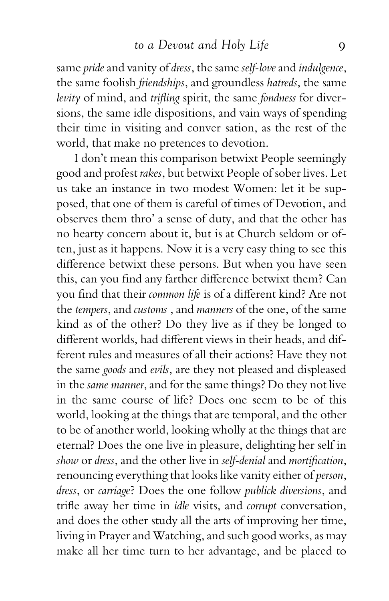same *pride* and vanity of *dress*, the same *self-love* and *indulgence*, the same foolish *friendships*, and groundless *hatreds*, the same *levity* of mind, and *trifling* spirit, the same *fondness* for diversions, the same idle dispositions, and vain ways of spending their time in visiting and conver sation, as the rest of the world, that make no pretences to devotion.

I don't mean this comparison betwixt People seemingly good and profest *rakes*, but betwixt People of sober lives. Let us take an instance in two modest Women: let it be supposed, that one of them is careful of times of Devotion, and observes them thro' a sense of duty, and that the other has no hearty concern about it, but is at Church seldom or often, just as it happens. Now it is a very easy thing to see this difference betwixt these persons. But when you have seen this, can you find any farther difference betwixt them? Can you find that their *common life* is of a different kind? Are not the *tempers*, and *customs* , and *manners* of the one, of the same kind as of the other? Do they live as if they be longed to different worlds, had different views in their heads, and different rules and measures of all their actions? Have they not the same *goods* and *evils*, are they not pleased and displeased in the *same manner*, and for the same things? Do they not live in the same course of life? Does one seem to be of this world, looking at the things that are temporal, and the other to be of another world, looking wholly at the things that are eternal? Does the one live in pleasure, delighting her self in *show* or *dress*, and the other live in *self-denial* and *mortification*, renouncing everything that looks like vanity either of *person*, *dress*, or *carriage*? Does the one follow *publick diversions*, and trifle away her time in *idle* visits, and *corrupt* conversation, and does the other study all the arts of improving her time, living in Prayer and Watching, and such good works, as may make all her time turn to her advantage, and be placed to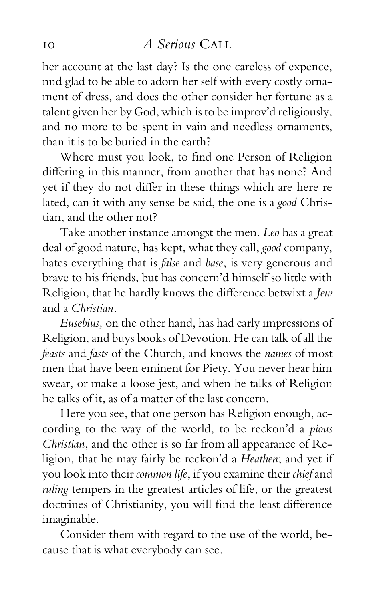her account at the last day? Is the one careless of expence, nnd glad to be able to adorn her self with every costly ornament of dress, and does the other consider her fortune as a talent given her by God, which is to be improv'd religiously, and no more to be spent in vain and needless ornaments, than it is to be buried in the earth?

Where must you look, to find one Person of Religion differing in this manner, from another that has none? And yet if they do not differ in these things which are here re lated, can it with any sense be said, the one is a *good* Christian, and the other not?

Take another instance amongst the men. *Leo* has a great deal of good nature, has kept, what they call, *good* company, hates everything that is *false* and *base*, is very generous and brave to his friends, but has concern'd himself so little with Religion, that he hardly knows the difference betwixt a *Jew* and a *Christian*.

*Eusebius,* on the other hand, has had early impressions of Religion, and buys books of Devotion. He can talk of all the *feasts* and *fasts* of the Church, and knows the *names* of most men that have been eminent for Piety. You never hear him swear, or make a loose jest, and when he talks of Religion he talks of it, as of a matter of the last concern.

Here you see, that one person has Religion enough, according to the way of the world, to be reckon'd a *pious Christian*, and the other is so far from all appearance of Religion, that he may fairly be reckon'd a *Heathen*; and yet if you look into their *common life*, if you examine their *chief* and *ruling* tempers in the greatest articles of life, or the greatest doctrines of Christianity, you will find the least difference imaginable.

Consider them with regard to the use of the world, because that is what everybody can see.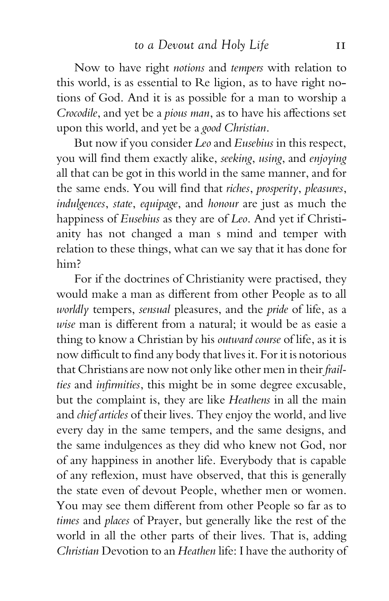Now to have right *notions* and *tempers* with relation to this world, is as essential to Re ligion, as to have right notions of God. And it is as possible for a man to worship a *Crocodile*, and yet be a *pious man*, as to have his affections set upon this world, and yet be a *good Christian*.

But now if you consider *Leo* and *Eusebius* in this respect, you will find them exactly alike, *seeking*, *using*, and *enjoying* all that can be got in this world in the same manner, and for the same ends. You will find that *riches*, *prosperity*, *pleasures*, *indulgences*, *state*, *equipage*, and *honour* are just as much the happiness of *Eusebius* as they are of *Leo*. And yet if Christianity has not changed a man s mind and temper with relation to these things, what can we say that it has done for him?

For if the doctrines of Christianity were practised, they would make a man as different from other People as to all *worldly* tempers, *sensual* pleasures, and the *pride* of life, as a *wise* man is different from a natural; it would be as easie a thing to know a Christian by his *outward course* of life, as it is now difficult to find any body that lives it. For it is notorious that Christians are now not only like other men in their *frailties* and *infirmities*, this might be in some degree excusable, but the complaint is, they are like *Heathens* in all the main and *chief articles* of their lives. They enjoy the world, and live every day in the same tempers, and the same designs, and the same indulgences as they did who knew not God, nor of any happiness in another life. Everybody that is capable of any reflexion, must have observed, that this is generally the state even of devout People, whether men or women. You may see them different from other People so far as to *times* and *places* of Prayer, but generally like the rest of the world in all the other parts of their lives. That is, adding *Christian* Devotion to an *Heathen* life: I have the authority of